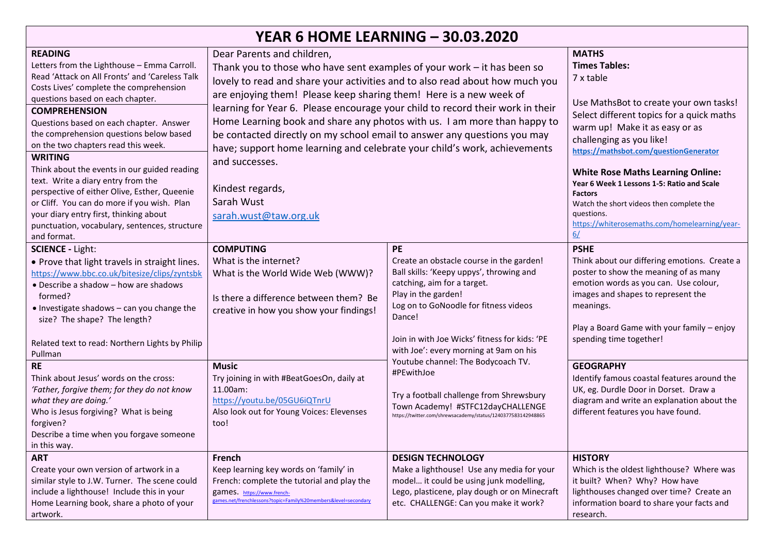| <b>YEAR 6 HOME LEARNING - 30.03.2020</b>                                                                                                                                                                                                                                                                                                                                                                                                                                                                                                                                                                                                                             |                                                                                                                                                                                                                                                                                                                                                                                                                                                                                                                                                                                                                                                                   |                                                                                                                                                                                                                                                                                                                                                                                                                                                                                                            |                                                                                                                                                                                                                                                                                                                                                                                                                                                                               |  |
|----------------------------------------------------------------------------------------------------------------------------------------------------------------------------------------------------------------------------------------------------------------------------------------------------------------------------------------------------------------------------------------------------------------------------------------------------------------------------------------------------------------------------------------------------------------------------------------------------------------------------------------------------------------------|-------------------------------------------------------------------------------------------------------------------------------------------------------------------------------------------------------------------------------------------------------------------------------------------------------------------------------------------------------------------------------------------------------------------------------------------------------------------------------------------------------------------------------------------------------------------------------------------------------------------------------------------------------------------|------------------------------------------------------------------------------------------------------------------------------------------------------------------------------------------------------------------------------------------------------------------------------------------------------------------------------------------------------------------------------------------------------------------------------------------------------------------------------------------------------------|-------------------------------------------------------------------------------------------------------------------------------------------------------------------------------------------------------------------------------------------------------------------------------------------------------------------------------------------------------------------------------------------------------------------------------------------------------------------------------|--|
| <b>READING</b><br>Letters from the Lighthouse - Emma Carroll.<br>Read 'Attack on All Fronts' and 'Careless Talk<br>Costs Lives' complete the comprehension<br>questions based on each chapter.<br><b>COMPREHENSION</b><br>Questions based on each chapter. Answer<br>the comprehension questions below based<br>on the two chapters read this week.<br><b>WRITING</b><br>Think about the events in our guided reading<br>text. Write a diary entry from the<br>perspective of either Olive, Esther, Queenie<br>or Cliff. You can do more if you wish. Plan<br>your diary entry first, thinking about<br>punctuation, vocabulary, sentences, structure<br>and format. | Dear Parents and children,<br>Thank you to those who have sent examples of your work $-$ it has been so<br>lovely to read and share your activities and to also read about how much you<br>are enjoying them! Please keep sharing them! Here is a new week of<br>learning for Year 6. Please encourage your child to record their work in their<br>Home Learning book and share any photos with us. I am more than happy to<br>be contacted directly on my school email to answer any questions you may<br>have; support home learning and celebrate your child's work, achievements<br>and successes.<br>Kindest regards,<br>Sarah Wust<br>sarah.wust@taw.org.uk |                                                                                                                                                                                                                                                                                                                                                                                                                                                                                                            | <b>MATHS</b><br><b>Times Tables:</b><br>7 x table<br>Use MathsBot to create your own tasks!<br>Select different topics for a quick maths<br>warm up! Make it as easy or as<br>challenging as you like!<br>https://mathsbot.com/questionGenerator<br><b>White Rose Maths Learning Online:</b><br>Year 6 Week 1 Lessons 1-5: Ratio and Scale<br><b>Factors</b><br>Watch the short videos then complete the<br>auestions.<br>https://whiterosemaths.com/homelearning/year-<br>6/ |  |
| <b>SCIENCE - Light:</b><br>• Prove that light travels in straight lines.<br>https://www.bbc.co.uk/bitesize/clips/zyntsbk<br>• Describe a shadow - how are shadows<br>formed?<br>• Investigate shadows - can you change the<br>size? The shape? The length?<br>Related text to read: Northern Lights by Philip<br>Pullman<br><b>RE</b><br>Think about Jesus' words on the cross:<br>'Father, forgive them; for they do not know<br>what they are doing.'<br>Who is Jesus forgiving? What is being<br>forgiven?<br>Describe a time when you forgave someone                                                                                                            | <b>COMPUTING</b><br>What is the internet?<br>What is the World Wide Web (WWW)?<br>Is there a difference between them? Be<br>creative in how you show your findings!<br><b>Music</b><br>Try joining in with #BeatGoesOn, daily at<br>11.00am:<br>https://youtu.be/05GU6iQTnrU<br>Also look out for Young Voices: Elevenses<br>too!                                                                                                                                                                                                                                                                                                                                 | <b>PE</b><br>Create an obstacle course in the garden!<br>Ball skills: 'Keepy uppys', throwing and<br>catching, aim for a target.<br>Play in the garden!<br>Log on to GoNoodle for fitness videos<br>Dance!<br>Join in with Joe Wicks' fitness for kids: 'PE<br>with Joe': every morning at 9am on his<br>Youtube channel: The Bodycoach TV.<br>#PEwithJoe<br>Try a football challenge from Shrewsbury<br>Town Academy! #STFC12dayCHALLENGE<br>https://twitter.com/shrewsacademy/status/1240377583142948865 | <b>PSHE</b><br>Think about our differing emotions. Create a<br>poster to show the meaning of as many<br>emotion words as you can. Use colour,<br>images and shapes to represent the<br>meanings.<br>Play a Board Game with your family - enjoy<br>spending time together!<br><b>GEOGRAPHY</b><br>Identify famous coastal features around the<br>UK, eg. Durdle Door in Dorset. Draw a<br>diagram and write an explanation about the<br>different features you have found.     |  |
| in this way.<br><b>ART</b><br>Create your own version of artwork in a<br>similar style to J.W. Turner. The scene could<br>include a lighthouse! Include this in your<br>Home Learning book, share a photo of your<br>artwork.                                                                                                                                                                                                                                                                                                                                                                                                                                        | French<br>Keep learning key words on 'family' in<br>French: complete the tutorial and play the<br>games. https://www.french-<br>games.net/frenchlessons?topic=Family%20members&level=secondary                                                                                                                                                                                                                                                                                                                                                                                                                                                                    | <b>DESIGN TECHNOLOGY</b><br>Make a lighthouse! Use any media for your<br>model it could be using junk modelling,<br>Lego, plasticene, play dough or on Minecraft<br>etc. CHALLENGE: Can you make it work?                                                                                                                                                                                                                                                                                                  | <b>HISTORY</b><br>Which is the oldest lighthouse? Where was<br>it built? When? Why? How have<br>lighthouses changed over time? Create an<br>information board to share your facts and<br>research.                                                                                                                                                                                                                                                                            |  |